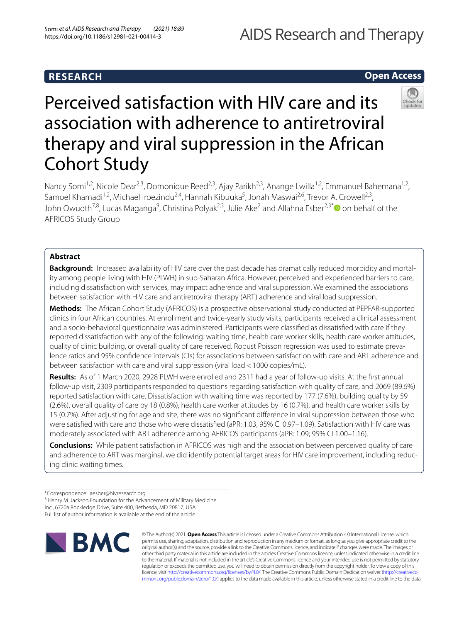# AIDS Research and Therapy

# **RESEARCH**

# **Open Access**



# Perceived satisfaction with HIV care and its association with adherence to antiretroviral therapy and viral suppression in the African Cohort Study

Nancy Somi<sup>1,2</sup>, Nicole Dear<sup>2,3</sup>, Domonique Reed<sup>2,3</sup>, Ajay Parikh<sup>2,3</sup>, Anange Lwilla<sup>1,2</sup>, Emmanuel Bahemana<sup>1,2</sup>, Samoel Khamadi<sup>1,2</sup>, Michael Iroezindu<sup>2,4</sup>, Hannah Kibuuka<sup>5</sup>, Jonah Maswai<sup>2,6</sup>, Trevor A. Crowell<sup>2,3</sup>, John Owuoth<sup>7,8</sup>, Lucas Maganga<sup>9</sup>, Christina Polyak<sup>2,3</sup>, Julie Ake<sup>2</sup> and Allahna Esber<sup>2,3[\\*](http://orcid.org/0000-0001-5337-0126)</sup> on behalf of the AFRICOS Study Group

# **Abstract**

**Background:** Increased availability of HIV care over the past decade has dramatically reduced morbidity and mortality among people living with HIV (PLWH) in sub-Saharan Africa. However, perceived and experienced barriers to care, including dissatisfaction with services, may impact adherence and viral suppression. We examined the associations between satisfaction with HIV care and antiretroviral therapy (ART) adherence and viral load suppression.

**Methods:** The African Cohort Study (AFRICOS) is a prospective observational study conducted at PEPFAR-supported clinics in four African countries. At enrollment and twice-yearly study visits, participants received a clinical assessment and a socio-behavioral questionnaire was administered. Participants were classifed as dissatisfed with care if they reported dissatisfaction with any of the following: waiting time, health care worker skills, health care worker attitudes, quality of clinic building, or overall quality of care received. Robust Poisson regression was used to estimate prevalence ratios and 95% confdence intervals (CIs) for associations between satisfaction with care and ART adherence and between satisfaction with care and viral suppression (viral load <1000 copies/mL).

**Results:** As of 1 March 2020, 2928 PLWH were enrolled and 2311 had a year of follow-up visits. At the frst annual follow-up visit, 2309 participants responded to questions regarding satisfaction with quality of care, and 2069 (89.6%) reported satisfaction with care. Dissatisfaction with waiting time was reported by 177 (7.6%), building quality by 59 (2.6%), overall quality of care by 18 (0.8%), health care worker attitudes by 16 (0.7%), and health care worker skills by 15 (0.7%). After adjusting for age and site, there was no signifcant diference in viral suppression between those who were satisfed with care and those who were dissatisfed (aPR: 1.03, 95% CI 0.97–1.09). Satisfaction with HIV care was moderately associated with ART adherence among AFRICOS participants (aPR: 1.09; 95% CI 1.00–1.16).

**Conclusions:** While patient satisfaction in AFRICOS was high and the association between perceived quality of care and adherence to ART was marginal, we did identify potential target areas for HIV care improvement, including reducing clinic waiting times.

Inc., 6720a Rockledge Drive, Suite 400, Bethesda, MD 20817, USA

Full list of author information is available at the end of the article



© The Author(s) 2021. **Open Access** This article is licensed under a Creative Commons Attribution 4.0 International License, which permits use, sharing, adaptation, distribution and reproduction in any medium or format, as long as you give appropriate credit to the original author(s) and the source, provide a link to the Creative Commons licence, and indicate if changes were made. The images or other third party material in this article are included in the article's Creative Commons licence, unless indicated otherwise in a credit line to the material. If material is not included in the article's Creative Commons licence and your intended use is not permitted by statutory regulation or exceeds the permitted use, you will need to obtain permission directly from the copyright holder. To view a copy of this licence, visit [http://creativecommons.org/licenses/by/4.0/.](http://creativecommons.org/licenses/by/4.0/) The Creative Commons Public Domain Dedication waiver ([http://creativeco](http://creativecommons.org/publicdomain/zero/1.0/) [mmons.org/publicdomain/zero/1.0/](http://creativecommons.org/publicdomain/zero/1.0/)) applies to the data made available in this article, unless otherwise stated in a credit line to the data.

<sup>\*</sup>Correspondence: aesber@hivresearch.org

<sup>&</sup>lt;sup>3</sup> Henry M. Jackson Foundation for the Advancement of Military Medicine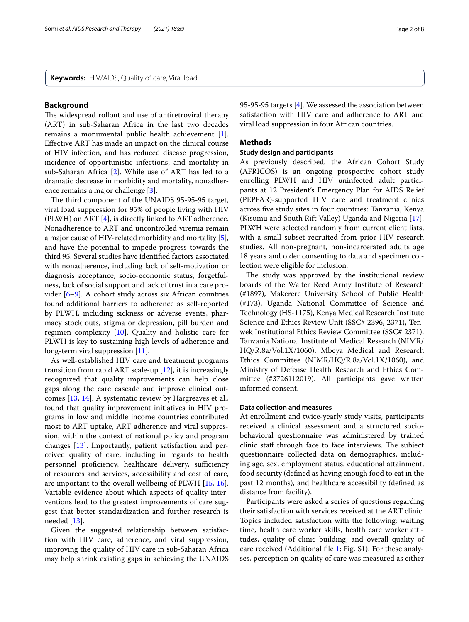**Keywords:** HIV/AIDS, Quality of care, Viral load

# **Background**

The widespread rollout and use of antiretroviral therapy (ART) in sub-Saharan Africa in the last two decades remains a monumental public health achievement [\[1](#page-6-0)]. Efective ART has made an impact on the clinical course of HIV infection, and has reduced disease progression, incidence of opportunistic infections, and mortality in sub-Saharan Africa [[2\]](#page-6-1). While use of ART has led to a dramatic decrease in morbidity and mortality, nonadherence remains a major challenge [[3\]](#page-6-2).

The third component of the UNAIDS 95-95-95 target, viral load suppression for 95% of people living with HIV (PLWH) on ART [\[4](#page-6-3)], is directly linked to ART adherence. Nonadherence to ART and uncontrolled viremia remain a major cause of HIV-related morbidity and mortality [\[5](#page-6-4)], and have the potential to impede progress towards the third 95. Several studies have identifed factors associated with nonadherence, including lack of self-motivation or diagnosis acceptance, socio-economic status, forgetfulness, lack of social support and lack of trust in a care provider [[6–](#page-6-5)[9\]](#page-6-6). A cohort study across six African countries found additional barriers to adherence as self-reported by PLWH, including sickness or adverse events, pharmacy stock outs, stigma or depression, pill burden and regimen complexity [[10\]](#page-6-7). Quality and holistic care for PLWH is key to sustaining high levels of adherence and long-term viral suppression [[11\]](#page-6-8).

As well-established HIV care and treatment programs transition from rapid ART scale-up [[12\]](#page-6-9), it is increasingly recognized that quality improvements can help close gaps along the care cascade and improve clinical outcomes [[13,](#page-6-10) [14\]](#page-7-0). A systematic review by Hargreaves et al., found that quality improvement initiatives in HIV programs in low and middle income countries contributed most to ART uptake, ART adherence and viral suppression, within the context of national policy and program changes [[13\]](#page-6-10). Importantly, patient satisfaction and perceived quality of care, including in regards to health personnel proficiency, healthcare delivery, sufficiency of resources and services, accessibility and cost of care, are important to the overall wellbeing of PLWH [\[15](#page-7-1), [16](#page-7-2)]. Variable evidence about which aspects of quality interventions lead to the greatest improvements of care suggest that better standardization and further research is needed [[13\]](#page-6-10).

Given the suggested relationship between satisfaction with HIV care, adherence, and viral suppression, improving the quality of HIV care in sub-Saharan Africa may help shrink existing gaps in achieving the UNAIDS 95-95-95 targets [[4\]](#page-6-3). We assessed the association between satisfaction with HIV care and adherence to ART and viral load suppression in four African countries.

# **Methods**

### **Study design and participants**

As previously described, the African Cohort Study (AFRICOS) is an ongoing prospective cohort study enrolling PLWH and HIV uninfected adult participants at 12 President's Emergency Plan for AIDS Relief (PEPFAR)-supported HIV care and treatment clinics across fve study sites in four countries: Tanzania, Kenya (Kisumu and South Rift Valley) Uganda and Nigeria [\[17](#page-7-3)]. PLWH were selected randomly from current client lists, with a small subset recruited from prior HIV research studies. All non-pregnant, non-incarcerated adults age 18 years and older consenting to data and specimen collection were eligible for inclusion.

The study was approved by the institutional review boards of the Walter Reed Army Institute of Research (#1897), Makerere University School of Public Health (#173), Uganda National Committee of Science and Technology (HS-1175), Kenya Medical Research Institute Science and Ethics Review Unit (SSC# 2396, 2371), Tenwek Institutional Ethics Review Committee (SSC# 2371), Tanzania National Institute of Medical Research (NIMR/ HQ/R.8a/Vol.1X/1060), Mbeya Medical and Research Ethics Committee (NIMR/HQ/R.8a/Vol.1X/1060), and Ministry of Defense Health Research and Ethics Committee (#3726112019). All participants gave written informed consent.

# **Data collection and measures**

At enrollment and twice-yearly study visits, participants received a clinical assessment and a structured sociobehavioral questionnaire was administered by trained clinic staff through face to face interviews. The subject questionnaire collected data on demographics, including age, sex, employment status, educational attainment, food security (defned as having enough food to eat in the past 12 months), and healthcare accessibility (defned as distance from facility).

Participants were asked a series of questions regarding their satisfaction with services received at the ART clinic. Topics included satisfaction with the following: waiting time, health care worker skills, health care worker attitudes, quality of clinic building, and overall quality of care received (Additional fle [1:](#page-5-0) Fig. S1). For these analyses, perception on quality of care was measured as either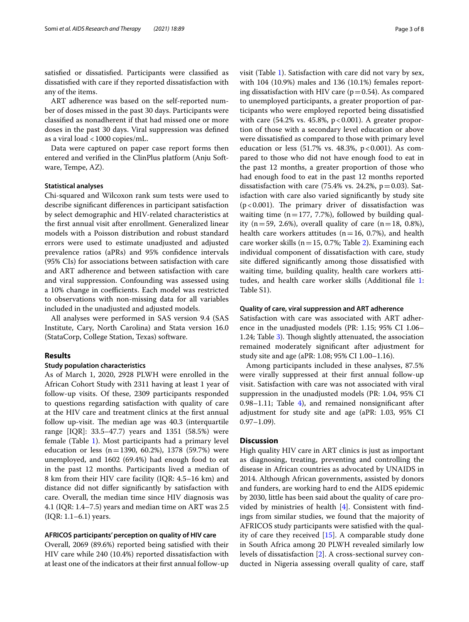satisfed or dissatisfed. Participants were classifed as dissatisfed with care if they reported dissatisfaction with any of the items.

ART adherence was based on the self-reported number of doses missed in the past 30 days. Participants were classifed as nonadherent if that had missed one or more doses in the past 30 days. Viral suppression was defned as a viral load <1000 copies/mL.

Data were captured on paper case report forms then entered and verifed in the ClinPlus platform (Anju Software, Tempe, AZ).

# **Statistical analyses**

Chi-squared and Wilcoxon rank sum tests were used to describe signifcant diferences in participant satisfaction by select demographic and HIV-related characteristics at the frst annual visit after enrollment. Generalized linear models with a Poisson distribution and robust standard errors were used to estimate unadjusted and adjusted prevalence ratios (aPRs) and 95% confdence intervals (95% CIs) for associations between satisfaction with care and ART adherence and between satisfaction with care and viral suppression. Confounding was assessed using a 10% change in coefficients. Each model was restricted to observations with non-missing data for all variables included in the unadjusted and adjusted models.

All analyses were performed in SAS version 9.4 (SAS Institute, Cary, North Carolina) and Stata version 16.0 (StataCorp, College Station, Texas) software.

# **Results**

# **Study population characteristics**

As of March 1, 2020, 2928 PLWH were enrolled in the African Cohort Study with 2311 having at least 1 year of follow-up visits. Of these, 2309 participants responded to questions regarding satisfaction with quality of care at the HIV care and treatment clinics at the frst annual follow up-visit. The median age was 40.3 (interquartile range [IQR]: 33.5–47.7) years and 1351 (58.5%) were female (Table [1\)](#page-3-0). Most participants had a primary level education or less (n=1390, 60.2%), 1378 (59.7%) were unemployed, and 1602 (69.4%) had enough food to eat in the past 12 months. Participants lived a median of 8 km from their HIV care facility (IQR: 4.5–16 km) and distance did not difer signifcantly by satisfaction with care. Overall, the median time since HIV diagnosis was 4.1 (IQR: 1.4–7.5) years and median time on ART was 2.5 (IQR: 1.1–6.1) years.

# **AFRICOS participants' perception on quality of HIV care**

Overall, 2069 (89.6%) reported being satisfed with their HIV care while 240 (10.4%) reported dissatisfaction with at least one of the indicators at their frst annual follow-up visit (Table [1\)](#page-3-0). Satisfaction with care did not vary by sex, with 104 (10.9%) males and 136 (10.1%) females reporting dissatisfaction with HIV care  $(p=0.54)$ . As compared to unemployed participants, a greater proportion of participants who were employed reported being dissatisfed with care  $(54.2\% \text{ vs. } 45.8\%, \text{ p} < 0.001)$ . A greater proportion of those with a secondary level education or above were dissatisfed as compared to those with primary level education or less  $(51.7% \text{ vs. } 48.3%, \text{ p} < 0.001)$ . As compared to those who did not have enough food to eat in the past 12 months, a greater proportion of those who had enough food to eat in the past 12 months reported dissatisfaction with care  $(75.4\% \text{ vs. } 24.2\% , p=0.03)$ . Satisfaction with care also varied signifcantly by study site ( $p$ <0.001). The primary driver of dissatisfaction was waiting time  $(n=177, 7.7%)$ , followed by building quality ( $n=59, 2.6\%$ ), overall quality of care ( $n=18, 0.8\%$ ), health care workers attitudes ( $n=16$ , 0.7%), and health care worker skills ( $n=15$ , 0.7%; Table [2](#page-4-0)). Examining each individual component of dissatisfaction with care, study site difered signifcantly among those dissatisfed with waiting time, building quality, health care workers attitudes, and health care worker skills (Additional fle [1](#page-5-0): Table S1).

#### **Quality of care, viral suppression and ART adherence**

Satisfaction with care was associated with ART adherence in the unadjusted models (PR: 1.15; 95% CI 1.06– 1.24; Table [3\)](#page-4-1). Though slightly attenuated, the association remained moderately signifcant after adjustment for study site and age (aPR: 1.08; 95% CI 1.00–1.16).

Among participants included in these analyses, 87.5% were virally suppressed at their frst annual follow-up visit. Satisfaction with care was not associated with viral suppression in the unadjusted models (PR: 1.04, 95% CI 0.98–1.11; Table [4](#page-5-1)), and remained nonsignifcant after adjustment for study site and age (aPR: 1.03, 95% CI  $0.97-1.09$ ).

# **Discussion**

High quality HIV care in ART clinics is just as important as diagnosing, treating, preventing and controlling the disease in African countries as advocated by UNAIDS in 2014. Although African governments, assisted by donors and funders, are working hard to end the AIDS epidemic by 2030, little has been said about the quality of care provided by ministries of health [\[4](#page-6-3)]. Consistent with fndings from similar studies, we found that the majority of AFRICOS study participants were satisfed with the quality of care they received [\[15](#page-7-1)]. A comparable study done in South Africa among 20 PLWH revealed similarly low levels of dissatisfaction [\[2](#page-6-1)]. A cross-sectional survey conducted in Nigeria assessing overall quality of care, staf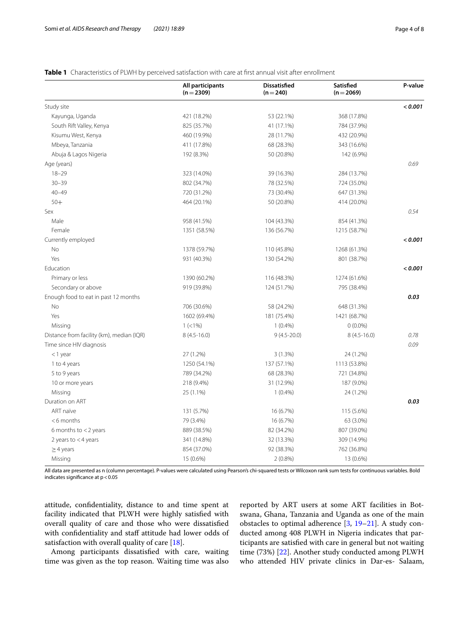# <span id="page-3-0"></span>**Table 1** Characteristics of PLWH by perceived satisfaction with care at first annual visit after enrollment

|                                           | All participants<br>$(n=2309)$ | <b>Dissatisfied</b><br>$(n = 240)$ | Satisfied<br>$(n=2069)$ | P-value |
|-------------------------------------------|--------------------------------|------------------------------------|-------------------------|---------|
| Study site                                |                                |                                    |                         | < 0.001 |
| Kayunga, Uganda                           | 421 (18.2%)                    | 53 (22.1%)                         | 368 (17.8%)             |         |
| South Rift Valley, Kenya                  | 825 (35.7%)                    | 41 (17.1%)                         | 784 (37.9%)             |         |
| Kisumu West, Kenya                        | 460 (19.9%)                    | 28 (11.7%)                         | 432 (20.9%)             |         |
| Mbeya, Tanzania                           | 411 (17.8%)                    | 68 (28.3%)                         | 343 (16.6%)             |         |
| Abuja & Lagos Nigeria                     | 192 (8.3%)                     | 50 (20.8%)                         | 142 (6.9%)              |         |
| Age (years)                               |                                |                                    |                         | 0.69    |
| $18 - 29$                                 | 323 (14.0%)                    | 39 (16.3%)                         | 284 (13.7%)             |         |
| $30 - 39$                                 | 802 (34.7%)                    | 78 (32.5%)                         | 724 (35.0%)             |         |
| $40 - 49$                                 | 720 (31.2%)                    | 73 (30.4%)                         | 647 (31.3%)             |         |
| $50+$                                     | 464 (20.1%)                    | 50 (20.8%)                         | 414 (20.0%)             |         |
| Sex                                       |                                |                                    |                         | 0.54    |
| Male                                      | 958 (41.5%)                    | 104 (43.3%)                        | 854 (41.3%)             |         |
| Female                                    | 1351 (58.5%)                   | 136 (56.7%)                        | 1215 (58.7%)            |         |
| Currently employed                        |                                |                                    |                         | < 0.001 |
| No                                        | 1378 (59.7%)                   | 110 (45.8%)                        | 1268 (61.3%)            |         |
| Yes                                       | 931 (40.3%)                    | 130 (54.2%)                        | 801 (38.7%)             |         |
| Education                                 |                                |                                    |                         | < 0.001 |
| Primary or less                           | 1390 (60.2%)                   | 116 (48.3%)                        | 1274 (61.6%)            |         |
| Secondary or above                        | 919 (39.8%)                    | 124 (51.7%)                        | 795 (38.4%)             |         |
| Enough food to eat in past 12 months      |                                |                                    |                         | 0.03    |
| <b>No</b>                                 | 706 (30.6%)                    | 58 (24.2%)                         | 648 (31.3%)             |         |
| Yes                                       | 1602 (69.4%)                   | 181 (75.4%)                        | 1421 (68.7%)            |         |
| Missing                                   | $1 (< 1\%)$                    | $1(0.4\%)$                         | $0(0.0\%)$              |         |
| Distance from facility (km), median (IQR) | $8(4.5 - 16.0)$                | $9(4.5 - 20.0)$                    | $8(4.5-16.0)$           | 0.78    |
| Time since HIV diagnosis                  |                                |                                    |                         | 0.09    |
| <1 year                                   | 27 (1.2%)                      | $3(1.3\%)$                         | 24 (1.2%)               |         |
| 1 to 4 years                              | 1250 (54.1%)                   | 137 (57.1%)                        | 1113 (53.8%)            |         |
| 5 to 9 years                              | 789 (34.2%)                    | 68 (28.3%)                         | 721 (34.8%)             |         |
| 10 or more years                          | 218 (9.4%)                     | 31 (12.9%)                         | 187 (9.0%)              |         |
| Missing                                   | 25 (1.1%)                      | $1(0.4\%)$                         | 24 (1.2%)               |         |
| Duration on ART                           |                                |                                    |                         | 0.03    |
| ART naïve                                 | 131 (5.7%)                     | 16 (6.7%)                          | 115 (5.6%)              |         |
| $< 6$ months                              | 79 (3.4%)                      | 16 (6.7%)                          | 63 (3.0%)               |         |
| 6 months to $<$ 2 years                   | 889 (38.5%)                    | 82 (34.2%)                         | 807 (39.0%)             |         |
| 2 years to $<$ 4 years                    | 341 (14.8%)                    | 32 (13.3%)                         | 309 (14.9%)             |         |
| $\geq$ 4 years                            | 854 (37.0%)                    | 92 (38.3%)                         | 762 (36.8%)             |         |
| Missing                                   | 15 (0.6%)                      | $2(0.8\%)$                         | 13 (0.6%)               |         |

All data are presented as n (column percentage). P-values were calculated using Pearson's chi-squared tests or Wilcoxon rank sum tests for continuous variables. Bold indicates significance at  $p < 0.05$ 

attitude, confdentiality, distance to and time spent at facility indicated that PLWH were highly satisfed with overall quality of care and those who were dissatisfed with confidentiality and staff attitude had lower odds of satisfaction with overall quality of care [[18\]](#page-7-4).

Among participants dissatisfed with care, waiting time was given as the top reason. Waiting time was also reported by ART users at some ART facilities in Botswana, Ghana, Tanzania and Uganda as one of the main obstacles to optimal adherence  $[3, 19-21]$  $[3, 19-21]$  $[3, 19-21]$  $[3, 19-21]$  $[3, 19-21]$ . A study conducted among 408 PLWH in Nigeria indicates that participants are satisfed with care in general but not waiting time (73%) [[22\]](#page-7-7). Another study conducted among PLWH who attended HIV private clinics in Dar-es- Salaam,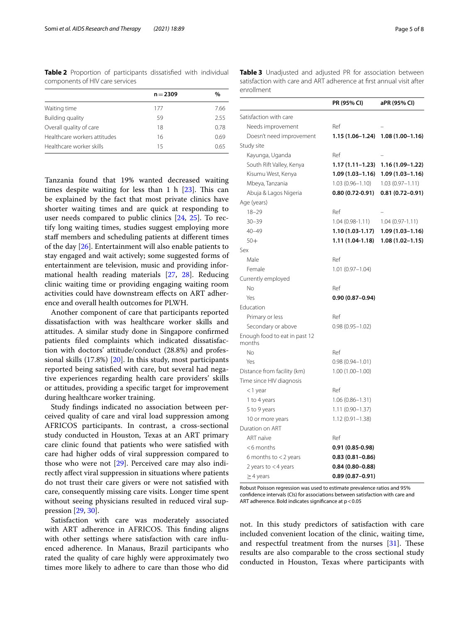<span id="page-4-0"></span>**Table 2** Proportion of participants dissatisfed with individual components of HIV care services

|                              | $n = 2309$ | $\%$ |
|------------------------------|------------|------|
| Waiting time                 | 177        | 7.66 |
| Building quality             | 59         | 2.55 |
| Overall quality of care      | 18         | 0.78 |
| Healthcare workers attitudes | 16         | 0.69 |
| Healthcare worker skills     | 15         | 065  |
|                              |            |      |

Tanzania found that 19% wanted decreased waiting times despite waiting for less than 1 h  $[23]$ . This can be explained by the fact that most private clinics have shorter waiting times and are quick at responding to user needs compared to public clinics [[24,](#page-7-9) [25\]](#page-7-10). To rectify long waiting times, studies suggest employing more staff members and scheduling patients at different times of the day [[26](#page-7-11)]. Entertainment will also enable patients to stay engaged and wait actively; some suggested forms of entertainment are television, music and providing informational health reading materials [\[27,](#page-7-12) [28\]](#page-7-13). Reducing clinic waiting time or providing engaging waiting room activities could have downstream efects on ART adherence and overall health outcomes for PLWH.

Another component of care that participants reported dissatisfaction with was healthcare worker skills and attitudes. A similar study done in Singapore confrmed patients fled complaints which indicated dissatisfaction with doctors' attitude/conduct (28.8%) and professional skills (17.8%) [\[20](#page-7-14)]. In this study, most participants reported being satisfed with care, but several had negative experiences regarding health care providers' skills or attitudes, providing a specifc target for improvement during healthcare worker training.

Study fndings indicated no association between perceived quality of care and viral load suppression among AFRICOS participants. In contrast, a cross-sectional study conducted in Houston, Texas at an ART primary care clinic found that patients who were satisfed with care had higher odds of viral suppression compared to those who were not [[29](#page-7-15)]. Perceived care may also indirectly afect viral suppression in situations where patients do not trust their care givers or were not satisfed with care, consequently missing care visits. Longer time spent without seeing physicians resulted in reduced viral suppression [[29](#page-7-15), [30\]](#page-7-16).

Satisfaction with care was moderately associated with ART adherence in AFRICOS. This finding aligns with other settings where satisfaction with care infuenced adherence. In Manaus, Brazil participants who rated the quality of care highly were approximately two times more likely to adhere to care than those who did <span id="page-4-1"></span>**Table 3** Unadjusted and adjusted PR for association between satisfaction with care and ART adherence at frst annual visit after enrollment

|                                         | PR (95% CI)         | aPR (95% CI)                      |
|-----------------------------------------|---------------------|-----------------------------------|
| Satisfaction with care                  |                     |                                   |
| Needs improvement                       | Ref                 |                                   |
| Doesn't need improvement                |                     | 1.15 (1.06-1.24) 1.08 (1.00-1.16) |
| Study site                              |                     |                                   |
| Kayunga, Uganda                         | Ref                 |                                   |
| South Rift Valley, Kenya                | 1.17 (1.11–1.23)    | $1.16(1.09 - 1.22)$               |
| Kisumu West, Kenya                      | 1.09 (1.03–1.16)    | $1.09(1.03 - 1.16)$               |
| Mbeya, Tanzania                         | 1.03 (0.96–1.10)    | $1.03(0.97 - 1.11)$               |
| Abuja & Lagos Nigeria                   | $0.80(0.72-0.91)$   | $0.81(0.72 - 0.91)$               |
| Age (years)                             |                     |                                   |
| $18 - 29$                               | Ref                 |                                   |
| $30 - 39$                               | 1.04 (0.98-1.11)    | $1.04(0.97 - 1.11)$               |
| $40 - 49$                               | 1.10 (1.03-1.17)    | $1.09(1.03 - 1.16)$               |
| $50+$                                   | 1.11 (1.04-1.18)    | $1.08(1.02 - 1.15)$               |
| Sex                                     |                     |                                   |
| Male                                    | Ref                 |                                   |
| Female                                  | $1.01(0.97 - 1.04)$ |                                   |
| Currently employed                      |                     |                                   |
| Νo                                      | Ref                 |                                   |
| Yes                                     | $0.90(0.87 - 0.94)$ |                                   |
| Education                               |                     |                                   |
| Primary or less                         | Ref                 |                                   |
| Secondary or above                      | $0.98(0.95 - 1.02)$ |                                   |
| Enough food to eat in past 12<br>months |                     |                                   |
| No                                      | Ref                 |                                   |
| Yes                                     | $0.98(0.94 - 1.01)$ |                                   |
| Distance from facility (km)             | $1.00(1.00 - 1.00)$ |                                   |
| Time since HIV diagnosis                |                     |                                   |
| <1 year                                 | Ref                 |                                   |
| 1 to 4 years                            | $1.06(0.86 - 1.31)$ |                                   |
| 5 to 9 years                            | $1.11(0.90 - 1.37)$ |                                   |
| 10 or more years                        | $1.12(0.91 - 1.38)$ |                                   |
| Duration on ART                         |                     |                                   |
| ART naïve                               | Ref                 |                                   |
| $<$ 6 months                            | $0.91(0.85-0.98)$   |                                   |
| 6 months to $<$ 2 years                 | $0.83(0.81 - 0.86)$ |                                   |
| 2 years to $<$ 4 years                  | $0.84(0.80 - 0.88)$ |                                   |
| $\geq$ 4 years                          | $0.89(0.87 - 0.91)$ |                                   |

Robust Poisson regression was used to estimate prevalence ratios and 95% confdence intervals (CIs) for associations between satisfaction with care and ART adherence. Bold indicates significance at  $p < 0.05$ 

not. In this study predictors of satisfaction with care included convenient location of the clinic, waiting time, and respectful treatment from the nurses  $[31]$  $[31]$ . These results are also comparable to the cross sectional study conducted in Houston, Texas where participants with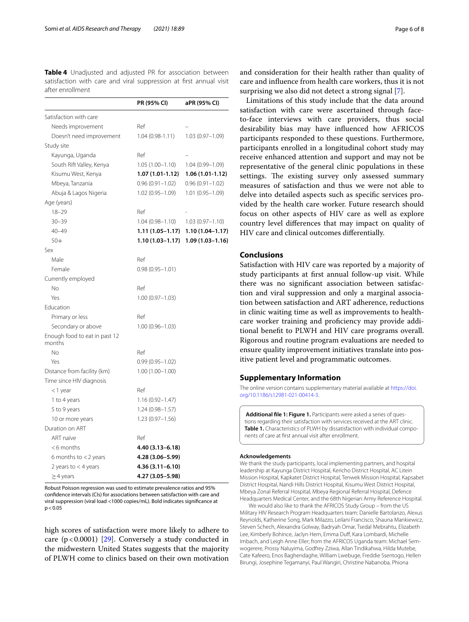<span id="page-5-1"></span>**Table 4** Unadjusted and adjusted PR for association between satisfaction with care and viral suppression at frst annual visit after enrollment

|                                         | PR (95% CI)         | aPR (95% CI)        |
|-----------------------------------------|---------------------|---------------------|
| Satisfaction with care                  |                     |                     |
| Needs improvement                       | Ref                 |                     |
| Doesn't need improvement                | $1.04(0.98-1.11)$   | $1.03(0.97 - 1.09)$ |
| Study site                              |                     |                     |
| Kayunga, Uganda                         | Ref                 |                     |
| South Rift Valley, Kenya                | $1.05(1.00-1.10)$   | $1.04(0.99 - 1.09)$ |
| Kisumu West, Kenya                      | 1.07 (1.01-1.12)    | 1.06 (1.01-1.12)    |
| Mbeya, Tanzania                         | $0.96(0.91 - 1.02)$ | $0.96(0.91 - 1.02)$ |
| Abuja & Lagos Nigeria                   | $1.02(0.95 - 1.09)$ | $1.01(0.95 - 1.09)$ |
| Age (years)                             |                     |                     |
| $18 - 29$                               | Ref                 |                     |
| $30 - 39$                               | 1.04 (0.98–1.10)    | $1.03(0.97-1.10)$   |
| $40 - 49$                               | 1.11 (1.05–1.17)    | $1.10(1.04 - 1.17)$ |
| $50+$                                   | 1.10 (1.03–1.17)    | $1.09(1.03 - 1.16)$ |
| Sex                                     |                     |                     |
| Male                                    | Ref                 |                     |
| Female                                  | $0.98(0.95 - 1.01)$ |                     |
| Currently employed                      |                     |                     |
| Νo                                      | Ref                 |                     |
| Yes                                     | $1.00(0.97 - 1.03)$ |                     |
| Education                               |                     |                     |
| Primary or less                         | Ref                 |                     |
| Secondary or above                      | $1.00(0.96 - 1.03)$ |                     |
| Enough food to eat in past 12<br>months |                     |                     |
| No                                      | Ref                 |                     |
| Yes                                     | $0.99(0.95 - 1.02)$ |                     |
| Distance from facility (km)             | $1.00(1.00 - 1.00)$ |                     |
| Time since HIV diagnosis                |                     |                     |
| <1 year                                 | Ref                 |                     |
| 1 to 4 years                            | $1.16(0.92 - 1.47)$ |                     |
| 5 to 9 years                            | $1.24(0.98 - 1.57)$ |                     |
| 10 or more years                        | $1.23(0.97 - 1.56)$ |                     |
| Duration on ART                         |                     |                     |
| ART naïve                               | Ref                 |                     |
| $<$ 6 months                            | 4.40 (3.13-6.18)    |                     |
| 6 months to $<$ 2 years                 | 4.28 (3.06–5.99)    |                     |
| 2 years to < 4 years                    | $4.36(3.11 - 6.10)$ |                     |
| $\geq$ 4 years                          | 4.27 (3.05-5.98)    |                     |

Robust Poisson regression was used to estimate prevalence ratios and 95% confdence intervals (CIs) for associations between satisfaction with care and viral suppression (viral load <1000 copies/mL). Bold indicates signifcance at  $p < 0.05$ 

high scores of satisfaction were more likely to adhere to care  $(p < 0.0001)$  [[29](#page-7-15)]. Conversely a study conducted in the midwestern United States suggests that the majority of PLWH come to clinics based on their own motivation and consideration for their health rather than quality of care and infuence from health care workers, thus it is not surprising we also did not detect a strong signal [\[7\]](#page-6-11).

Limitations of this study include that the data around satisfaction with care were ascertained through faceto-face interviews with care providers, thus social desirability bias may have infuenced how AFRICOS participants responded to these questions. Furthermore, participants enrolled in a longitudinal cohort study may receive enhanced attention and support and may not be representative of the general clinic populations in these settings. The existing survey only assessed summary measures of satisfaction and thus we were not able to delve into detailed aspects such as specifc services provided by the health care worker. Future research should focus on other aspects of HIV care as well as explore country level diferences that may impact on quality of HIV care and clinical outcomes diferentially.

# **Conclusions**

Satisfaction with HIV care was reported by a majority of study participants at frst annual follow-up visit. While there was no signifcant association between satisfaction and viral suppression and only a marginal association between satisfaction and ART adherence, reductions in clinic waiting time as well as improvements to healthcare worker training and proficiency may provide additional beneft to PLWH and HIV care programs overall. Rigorous and routine program evaluations are needed to ensure quality improvement initiatives translate into positive patient level and programmatic outcomes.

# **Supplementary Information**

The online version contains supplementary material available at [https://doi.](https://doi.org/10.1186/s12981-021-00414-3) [org/10.1186/s12981-021-00414-3](https://doi.org/10.1186/s12981-021-00414-3).

<span id="page-5-0"></span>**Additional fle 1: Figure 1.** Participants were asked a series of questions regarding their satisfaction with services received at the ART clinic. **Table 1.** Characteristics of PLWH by dissatisfaction with individual components of care at frst annual visit after enrollment.

#### **Acknowledgements**

We thank the study participants, local implementing partners, and hospital leadership at Kayunga District Hospital, Kericho District Hospital, AC Litein Mission Hospital, Kapkatet District Hospital, Tenwek Mission Hospital, Kapsabet District Hospital, Nandi Hills District Hospital, Kisumu West District Hospital, Mbeya Zonal Referral Hospital, Mbeya Regional Referral Hospital, Defence Headquarters Medical Center, and the 68th Nigerian Army Reference Hospital.

We would also like to thank the AFRICOS Study Group – from the US Military HIV Research Program Headquarters team: Danielle Bartolanzo, Alexus Reynolds, Katherine Song, Mark Milazzo, Leilani Francisco, Shauna Mankiewicz, Steven Schech, Alexandra Golway, Badryah Omar, Tsedal Mebrahtu, Elizabeth Lee, Kimberly Bohince, Jaclyn Hern, Emma Duff, Kara Lombardi, Michelle Imbach, and Leigh Anne Eller; from the AFRICOS Uganda team: Michael Semwogerere, Prossy Naluyima, Godfrey Zziwa, Allan Tindikahwa, Hilda Mutebe, Cate Kafeero, Enos Baghendaghe, William Lwebuge, Freddie Ssentogo, Hellen Birungi, Josephine Tegamanyi, Paul Wangiri, Christine Nabanoba, Phiona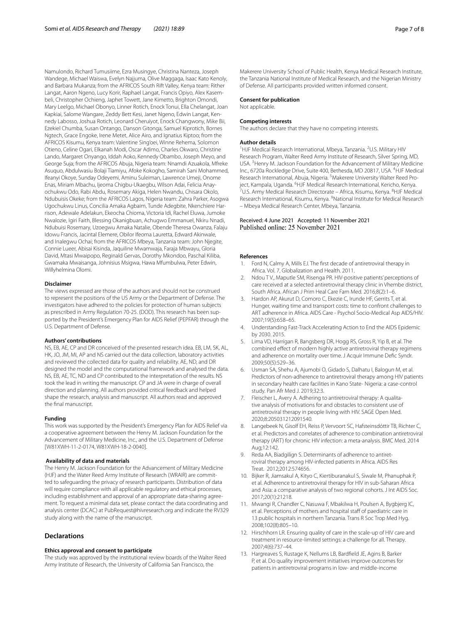Namulondo, Richard Tumusiime, Ezra Musingye, Christina Nanteza, Joseph Wandege, Michael Waiswa, Evelyn Najjuma, Olive Maggaga, Isaac Kato Kenoly, and Barbara Mukanza; from the AFRICOS South Rift Valley, Kenya team: Rither Langat, Aaron Ngeno, Lucy Korir, Raphael Langat, Francis Opiyo, Alex Kasembeli, Christopher Ochieng, Japhet Towett, Jane Kimetto, Brighton Omondi, Mary Leelgo, Michael Obonyo, Linner Rotich, Enock Tonui, Ella Chelangat, Joan Kapkiai, Salome Wangare, Zeddy Bett Kesi, Janet Ngeno, Edwin Langat, Kennedy Labosso, Joshua Rotich, Leonard Cheruiyot, Enock Changwony, Mike Bii, Ezekiel Chumba, Susan Ontango, Danson Gitonga, Samuel Kiprotich, Bornes Ngtech, Grace Engoke, Irene Metet, Alice Airo, and Ignatius Kiptoo; from the AFRICOS Kisumu, Kenya team: Valentine Sing'oei, Winne Rehema, Solomon Otieno, Celine Ogari, Elkanah Modi, Oscar Adimo, Charles Okwaro, Christine Lando, Margaret Onyango, Iddah Aoko, Kennedy Obambo, Joseph Meyo, and George Suja; from the AFRICOS Abuja, Nigeria team: Nnamdi Azuakola, Mfreke Asuquo, Abdulwasiu Bolaji Tiamiyu, Afoke Kokogho, Samirah Sani Mohammed, Ifeanyi Okoye, Sunday Odeyemi, Aminu Suleiman, Lawrence Umeji, Onome Enas, Miriam Mbachu, Ijeoma Chigbu-Ukaegbu, Wilson Adai, Felicia Anayochukwu Odo, Rabi Abdu, Rosemary Akiga, Helen Nwandu, Chisara Okolo, Ndubuisis Okeke; from the AFRICOS Lagos, Nigeria team: Zahra Parker, Asogwa Ugochukwu Linus, Concilia Amaka Agbaim, Tunde Adegbite, Nkenchiere Harrison, Adewale Adelakun, Ekeocha Chioma, Victoria Idi, Rachel Eluwa, Jumoke Nwalozie, Igiri Faith, Blessing Okanigbuan, Achugwo Emmanuel, Nkiru Nnadi, Ndubuisi Rosemary, Uzoegwu Amaka Natalie, Obende Theresa Owanza, Falaju Idowu Francis, Jacintal Elemere, Obilor Ifeoma Lauretta, Edward Akinwale, and Inalegwu Ochai; from the AFRICOS Mbeya, Tanzania team: John Njegite, Connie Lueer, Abisai Kisinda, Jaquiline Mwamwaja, Faraja Mbwayu, Gloria David, Mtasi Mwaipopo, Reginald Gervas, Dorothy Mkondoo, Paschal Kiliba, Gwamaka Mwaisanga, Johnisius Msigwa, Hawa Mfumbulwa, Peter Edwin, Willyhelmina Olomi.

#### **Disclaimer**

The views expressed are those of the authors and should not be construed to represent the positions of the US Army or the Department of Defense. The investigators have adhered to the policies for protection of human subjects as prescribed in Army Regulation 70-25. (DOD). This research has been supported by the President's Emergency Plan for AIDS Relief (PEPFAR) through the U.S. Department of Defense.

#### **Authors' contributions**

NS, EB, AE, CP and DR conceived of the presented research idea. EB, LM, SK, AL, HK, JO, JM, MI, AP and NS carried out the data collection, laboratory activities and reviewed the collected data for quality and reliability. AE, ND, and DR designed the model and the computational framework and analysed the data. NS, EB, AE, TC, ND and CP contributed to the interpretation of the results. NS took the lead in writing the manuscript. CP and JA were in charge of overall direction and planning. All authors provided critical feedback and helped shape the research, analysis and manuscript. All authors read and approved the fnal manuscript.

#### **Funding**

This work was supported by the President's Emergency Plan for AIDS Relief via a cooperative agreement between the Henry M. Jackson Foundation for the Advancement of Military Medicine, Inc., and the U.S. Department of Defense [W81XWH-11-2-0174, W81XWH-18-2-0040].

#### **Availability of data and materials**

The Henry M. Jackson Foundation for the Advancement of Military Medicine (HJF) and the Water Reed Army Institute of Research (WRAIR) are committed to safeguarding the privacy of research participants. Distribution of data will require compliance with all applicable regulatory and ethical processes, including establishment and approval of an appropriate data-sharing agreement. To request a minimal data set, please contact the data coordinating and analysis center (DCAC) at PubRequest@hivresearch.org and indicate the RV329 study along with the name of the manuscript.

# **Declarations**

#### **Ethics approval and consent to participate**

The study was approved by the institutional review boards of the Walter Reed Army Institute of Research, the University of California San Francisco, the

Makerere University School of Public Health, Kenya Medical Research Institute, the Tanzania National Institute of Medical Research, and the Nigerian Ministry of Defense. All participants provided written informed consent.

#### **Consent for publication**

Not applicable.

#### **Competing interests**

The authors declare that they have no competing interests.

#### **Author details**

<sup>1</sup>HJF Medical Research International, Mbeya, Tanzania. <sup>2</sup>U.S. Military HIV Research Program, Walter Reed Army Institute of Research, Silver Spring, MD, USA.<sup>3</sup> Henry M. Jackson Foundation for the Advancement of Military Medicine Inc., 6720a Rockledge Drive, Suite 400, Bethesda, MD 20817, USA. <sup>4</sup>HJF Medical Research International, Abuja, Nigeria. <sup>5</sup>Makerere University Walter Reed Project, Kampala, Uganda. <sup>6</sup>HJF Medical Research International, Kericho, Kenya.<br><sup>7</sup>US Army Medical Research Directorate – Africa Kisumu, Kenya. <sup>8</sup>HJF Medic U.S. Army Medical Research Directorate - Africa, Kisumu, Kenya. <sup>8</sup>HJF Medical Research International, Kisumu, Kenya. <sup>9</sup>National Institute for Medical Research – Mbeya Medical Research Center, Mbeya, Tanzania.

### Received: 4 June 2021 Accepted: 11 November 2021 Published online: 25 November 2021

#### **References**

- <span id="page-6-0"></span>1. Ford N, Calmy A, Mills EJ. The frst decade of antiretroviral therapy in Africa. Vol. 7, Globalization and Health. 2011.
- <span id="page-6-1"></span>2. Ndou T V., Maputle SM, Risenga PR. HIV-positive patients' perceptions of care received at a selected antiretroviral therapy clinic in Vhembe district, South Africa. African J Prim Heal Care Fam Med. 2016;8(2):1–6.
- <span id="page-6-2"></span>3. Hardon AP, Akurut D, Comoro C, Ekezie C, Irunde HF, Gerrits T, et al. Hunger, waiting time and transport costs: time to confront challenges to ART adherence in Africa. AIDS Care - Psychol Socio-Medical Asp AIDS/HIV. 2007;19(5):658–65.
- <span id="page-6-3"></span>4. Understanding Fast-Track Accelerating Action to End the AIDS Epidemic by 2030. 2015.
- <span id="page-6-4"></span>5. Lima VD, Harrigan R, Bangsberg DR, Hogg RS, Gross R, Yip B, et al. The combined efect of modern highly active antiretroviral therapy regimens and adherence on mortality over time. J Acquir Immune Defc Syndr. 2009;50(5):529–36.
- <span id="page-6-5"></span>6. Usman SA, Shehu A, Ajumobi O, Gidado S, Dalhatu I, Balogun M, et al. Predictors of non-adherence to antiretroviral therapy among HIV patients in secondary health care facilities in Kano State- Nigeria: a case-control study. Pan Afr Med J. 2019;32:3.
- <span id="page-6-11"></span>7. Fleischer L, Avery A. Adhering to antiretroviral therapy: A qualitative analysis of motivations for and obstacles to consistent use of antiretroviral therapy in people living with HIV. SAGE Open Med. 2020;8:205031212091540.
- 8. Langebeek N, Gisolf EH, Reiss P, Vervoort SC, Hafsteinsdóttir TB, Richter C, et al. Predictors and correlates of adherence to combination antiretroviral therapy (ART) for chronic HIV infection: a meta-analysis. BMC Med. 2014 Aug;12:142.
- <span id="page-6-6"></span>Reda AA, Biadgilign S. Determinants of adherence to antiretroviral therapy among HIV-infected patients in Africa. AIDS Res Treat. 2012;2012:574656.
- <span id="page-6-7"></span>10. Bijker R, Jiamsakul A, Kityo C, Kiertiburanakul S, Siwale M, Phanuphak P, et al. Adherence to antiretroviral therapy for HIV in sub-Saharan Africa and Asia: a comparative analysis of two regional cohorts. J Int AIDS Soc. 2017;20(1):21218.
- <span id="page-6-8"></span>11. Mwangi R, Chandler C, Nasuwa F, Mbakilwa H, Poulsen A, Bygbjerg IC, et al. Perceptions of mothers and hospital staff of paediatric care in 13 public hospitals in northern Tanzania. Trans R Soc Trop Med Hyg. 2008;102(8):805–10.
- <span id="page-6-9"></span>12. Hirschhorn LR. Ensuring quality of care in the scale-up of HIV care and treatment in resource-limited settings: a challenge for all. Therapy. 2007;4(6):737–44.
- <span id="page-6-10"></span>13. Hargreaves S, Rustage K, Nellums LB, Bardfeld JE, Agins B, Barker P, et al. Do quality improvement initiatives improve outcomes for patients in antiretroviral programs in low- and middle-income